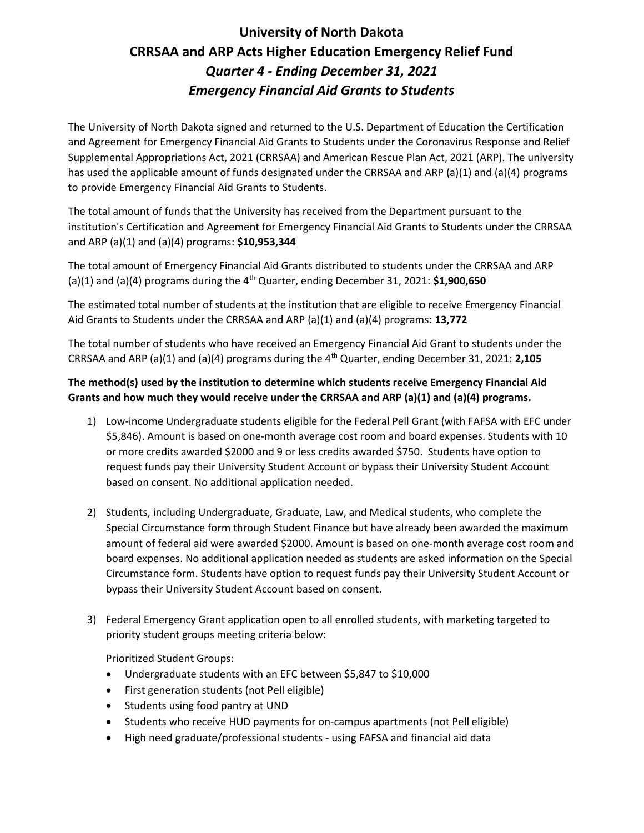# University of North Dakota CRRSAA and ARP Acts Higher Education Emergency Relief Fund Quarter 4 - Ending December 31, 2021 Emergency Financial Aid Grants to Students

The University of North Dakota signed and returned to the U.S. Department of Education the Certification and Agreement for Emergency Financial Aid Grants to Students under the Coronavirus Response and Relief Supplemental Appropriations Act, 2021 (CRRSAA) and American Rescue Plan Act, 2021 (ARP). The university has used the applicable amount of funds designated under the CRRSAA and ARP (a)(1) and (a)(4) programs to provide Emergency Financial Aid Grants to Students.

The total amount of funds that the University has received from the Department pursuant to the institution's Certification and Agreement for Emergency Financial Aid Grants to Students under the CRRSAA and ARP (a)(1) and (a)(4) programs: \$10,953,344

The total amount of Emergency Financial Aid Grants distributed to students under the CRRSAA and ARP (a)(1) and (a)(4) programs during the  $4<sup>th</sup>$  Quarter, ending December 31, 2021: \$1,900,650

The estimated total number of students at the institution that are eligible to receive Emergency Financial Aid Grants to Students under the CRRSAA and ARP (a)(1) and (a)(4) programs: 13,772

The total number of students who have received an Emergency Financial Aid Grant to students under the CRRSAA and ARP (a)(1) and (a)(4) programs during the 4<sup>th</sup> Quarter, ending December 31, 2021: 2,105

## The method(s) used by the institution to determine which students receive Emergency Financial Aid Grants and how much they would receive under the CRRSAA and ARP (a)(1) and (a)(4) programs.

- 1) Low-income Undergraduate students eligible for the Federal Pell Grant (with FAFSA with EFC under \$5,846). Amount is based on one-month average cost room and board expenses. Students with 10 or more credits awarded \$2000 and 9 or less credits awarded \$750. Students have option to request funds pay their University Student Account or bypass their University Student Account based on consent. No additional application needed.
- 2) Students, including Undergraduate, Graduate, Law, and Medical students, who complete the Special Circumstance form through Student Finance but have already been awarded the maximum amount of federal aid were awarded \$2000. Amount is based on one-month average cost room and board expenses. No additional application needed as students are asked information on the Special Circumstance form. Students have option to request funds pay their University Student Account or bypass their University Student Account based on consent.
- 3) Federal Emergency Grant application open to all enrolled students, with marketing targeted to priority student groups meeting criteria below:

Prioritized Student Groups:

- Undergraduate students with an EFC between \$5,847 to \$10,000
- First generation students (not Pell eligible)
- Students using food pantry at UND
- Students who receive HUD payments for on-campus apartments (not Pell eligible)
- High need graduate/professional students using FAFSA and financial aid data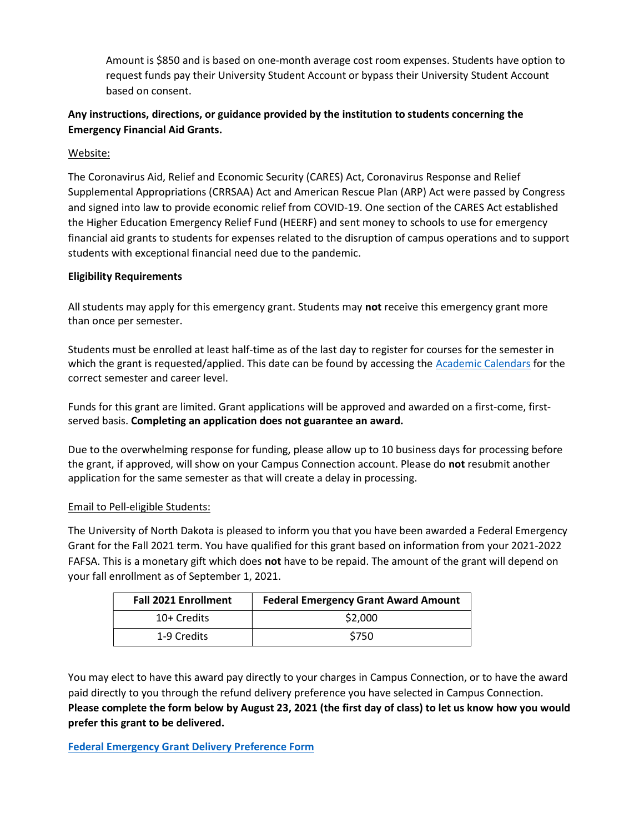Amount is \$850 and is based on one-month average cost room expenses. Students have option to request funds pay their University Student Account or bypass their University Student Account based on consent.

### Any instructions, directions, or guidance provided by the institution to students concerning the Emergency Financial Aid Grants.

Website:

The Coronavirus Aid, Relief and Economic Security (CARES) Act, Coronavirus Response and Relief Supplemental Appropriations (CRRSAA) Act and American Rescue Plan (ARP) Act were passed by Congress and signed into law to provide economic relief from COVID-19. One section of the CARES Act established the Higher Education Emergency Relief Fund (HEERF) and sent money to schools to use for emergency financial aid grants to students for expenses related to the disruption of campus operations and to support students with exceptional financial need due to the pandemic.

#### Eligibility Requirements

All students may apply for this emergency grant. Students may not receive this emergency grant more than once per semester.

Students must be enrolled at least half-time as of the last day to register for courses for the semester in which the grant is requested/applied. This date can be found by accessing the Academic Calendars for the correct semester and career level.

Funds for this grant are limited. Grant applications will be approved and awarded on a first-come, firstserved basis. Completing an application does not guarantee an award.

Due to the overwhelming response for funding, please allow up to 10 business days for processing before the grant, if approved, will show on your Campus Connection account. Please do not resubmit another application for the same semester as that will create a delay in processing.

#### Email to Pell-eligible Students:

The University of North Dakota is pleased to inform you that you have been awarded a Federal Emergency Grant for the Fall 2021 term. You have qualified for this grant based on information from your 2021-2022 FAFSA. This is a monetary gift which does not have to be repaid. The amount of the grant will depend on your fall enrollment as of September 1, 2021.

| <b>Fall 2021 Enrollment</b> | <b>Federal Emergency Grant Award Amount</b> |
|-----------------------------|---------------------------------------------|
| 10+ Credits                 | \$2,000                                     |
| 1-9 Credits                 | \$750                                       |

You may elect to have this award pay directly to your charges in Campus Connection, or to have the award paid directly to you through the refund delivery preference you have selected in Campus Connection. Please complete the form below by August 23, 2021 (the first day of class) to let us know how you would prefer this grant to be delivered.

Federal Emergency Grant Delivery Preference Form